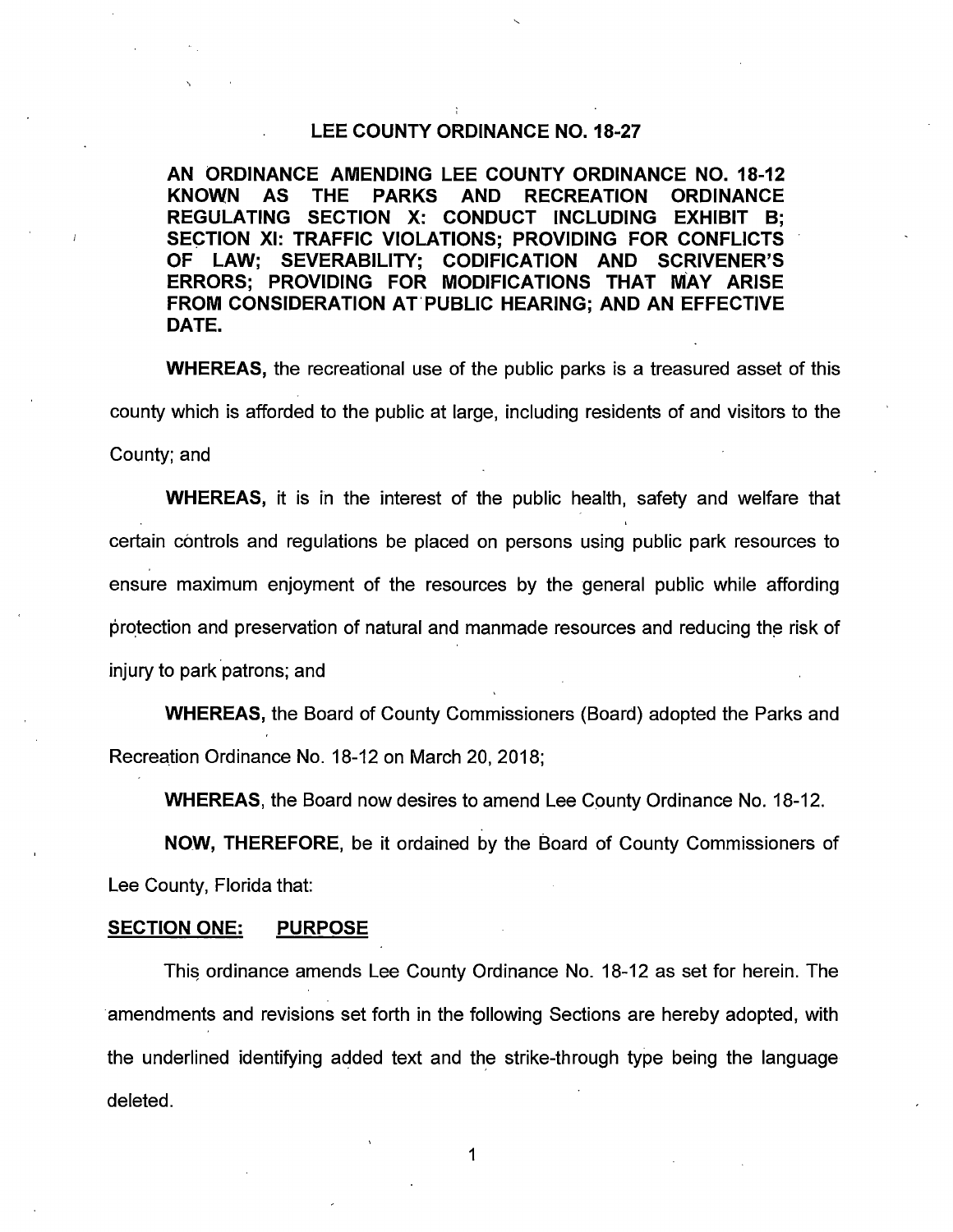### **LEE COUNTY ORDINANCE NO. 18-27**

**AN ORDINANCE AMENDING LEE COUNTY ORDINANCE NO. 18-12 KNOWN AS THE PARKS AND RECREATION ORDINANCE REGULATING SECTION X: CONDUCT INCLUDING EXHIBIT B; SECTION XI: TRAFFIC VIOLATIONS; PROVIDING FOR CONFLICTS OF LAW; SEVERABILITY; CODIFICATION AND SCRIVENER'S ERRORS; PROVIDING FOR MODIFICATIONS THAT MAY ARISE FROM CONSIDERATION AT'PUBLIC HEARING; AND AN EFFECTIVE DATE.** 

**WHEREAS,** the recreational use of the public parks is a treasured asset of this county which is afforded to the public at large, including residents of and visitors to the County; and

**WHEREAS,** it is in the interest of the public health, safety and welfare that certain controls and regulations be placed on persons using public park resources to ensure maximum enjoyment of the resources by the general public while affording protection and preservation of natural and manmade resources and reducing the risk of injury to park patrons; and

**WHEREAS,** the Board of County Commissioners (Board) adopted the Parks and Recreation Ordinance No. 18-12 on March 20, 2018;

**WHEREAS,** the Board now desires to amend Lee County Ordinance No. 18-12.

**NOW, THEREFORE,** be it ordained by the Board of County Commissioners of Lee County, Florida that:

### **SECTION ONE: PURPOSE**

This ordinance amends Lee County Ordinance No. 18-12 as set for herein. The amendments and revisions set forth in the following Sections are hereby adopted, with the underlined identifying added text and the strike-through type being the language deleted.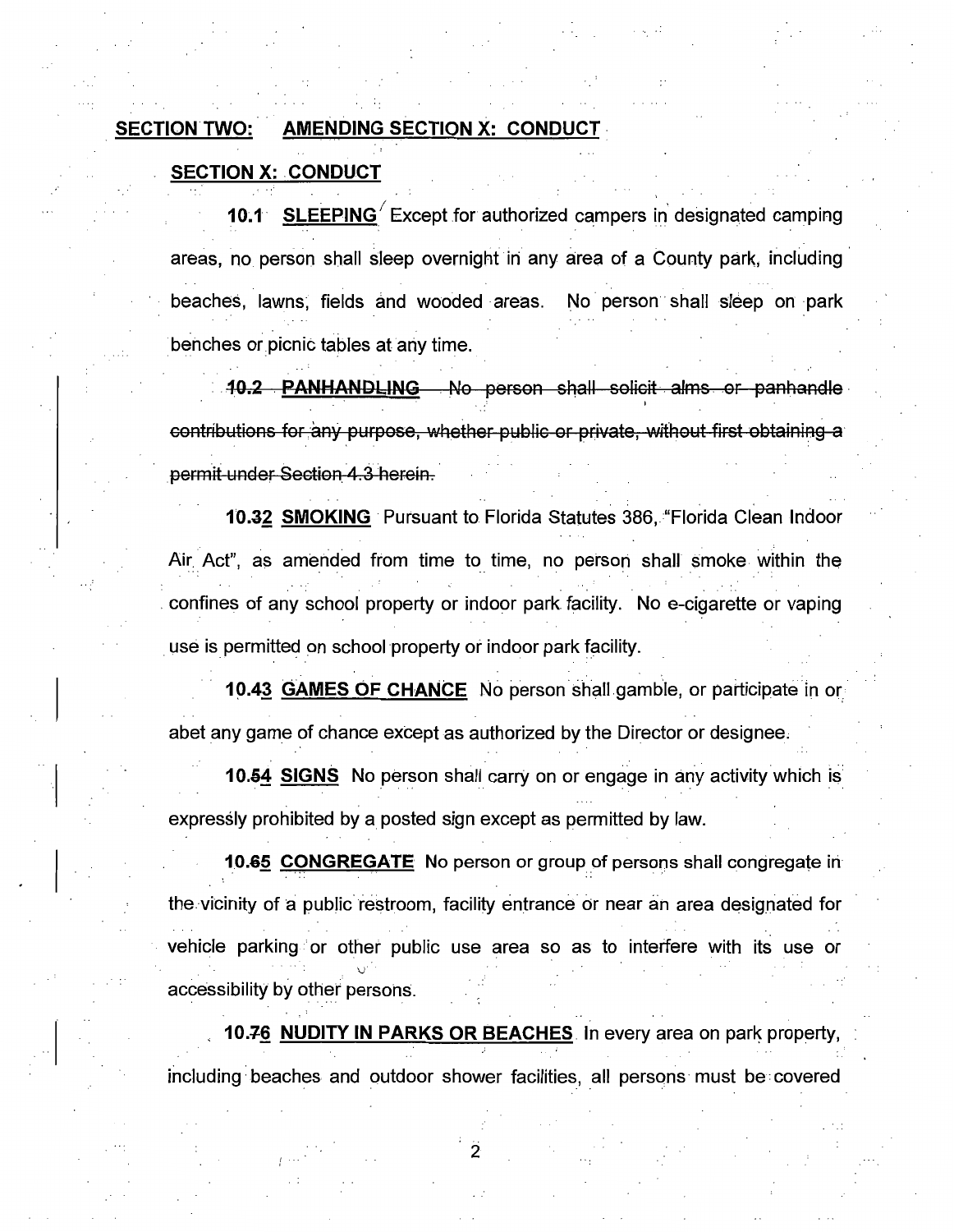## SECTION TWO: AMENDING SECTION X: CONDUCT

## **SECTION X: CONDUCT**

 $\mathbb{I}$ 

**10.1 SLEEPING** *Except for authorized campers in designated camping* areas, no person shall sleep overnight in any area of a County park, including beaches, lawns, fields and wooded areas. No person shall sleep on park benches or picnic tables at any time.

• **10.2 . PANHANDLING** . No person shall solicit alms or panhandle· contributions for any purpose, whether public or private, without first obtaining a permit under Section 4.3 herein.

**10.32 SMOKING·** Pursuant to Florida Statutes 386, "Florida Clean Indoor Air Act", as amended from time to time, no person shall smoke within the . confines of any school property or indoor park facility. No e-cigarette or vaping . use is permitted on school property or indoor park facility.

**10.43 GAMES OF CHANCE** No person shall gamble, or participate in or abet any game of chance except as authorized by the Director or designee,

**10.54 SIGNS** No person shall carry on or engage in any activity which is expressly prohibited by a posted sign except as permitted by law.

**10.65 CONGREGATE** No person or group of persons shall congregate in the ·vicinity of a public restroom, facility entrance or near an area designated for vehicle parking or other public use area so as to interfere with its use or . . accessibility by other persons.

**10.76 NUDITY IN PARKS OR BEACHES** In every area on park property, including beaches and outdoor shower facilities, all persons must be covered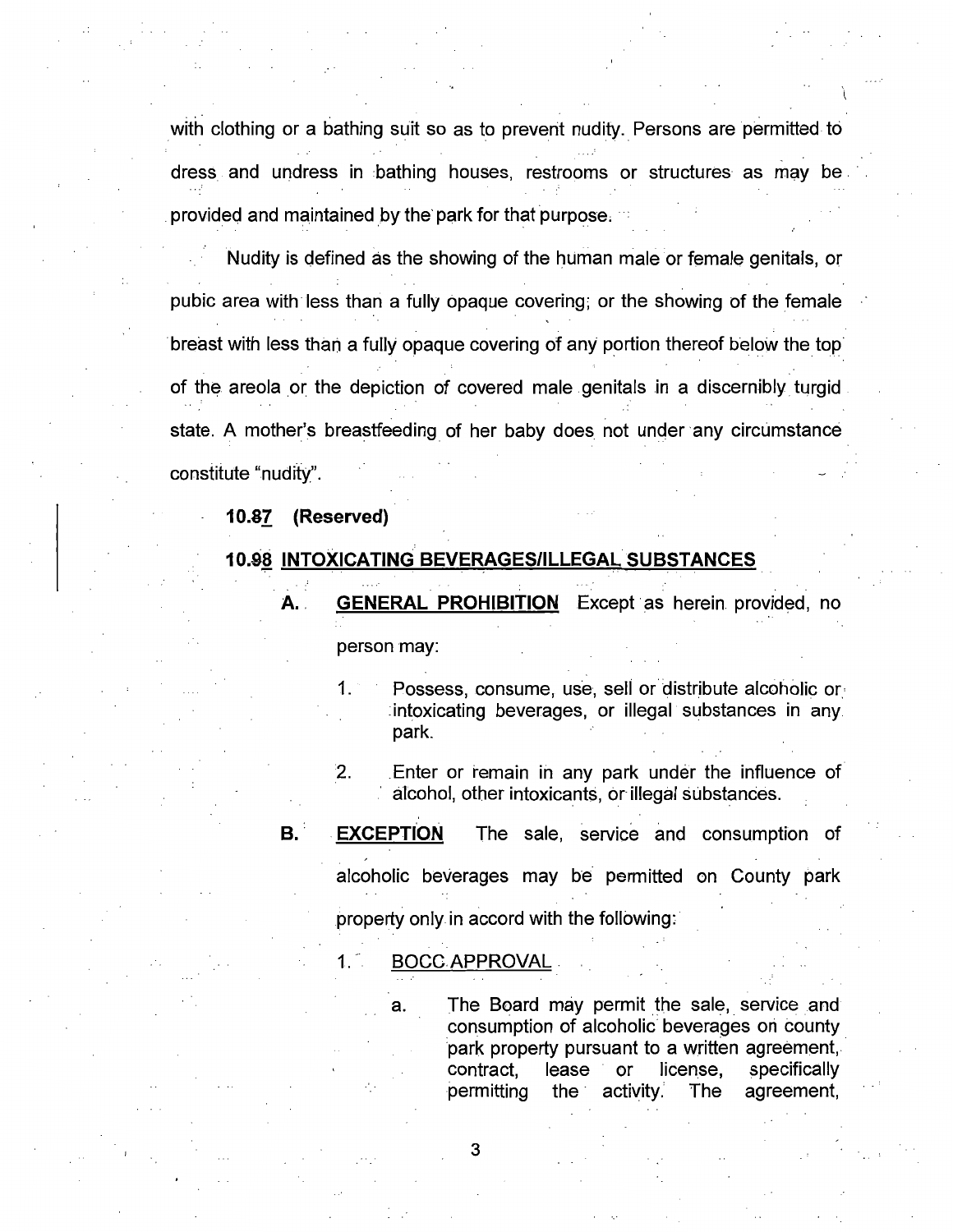with clothing or a bathing suit so as to prevent nudity. Persons are permitted to dress and undress in bathing houses, restrooms or structures as may be . provided and maintained by the' park for that purpose,

 $\int$ 

Nudity is defined as the showing of the human male or female genitals, or pubic area with less than a fully opaque covering; or the showing of the female breast with less than a fully opaque covering of any portion thereof below the top of the areola or the depiction of covered male genitals in a discernibly turgid state. A mother's breastfeeding of her baby does not under any circumstance constitute "nudity".

### **10.81 (Reserved)**

### **10.98 INTOXICATING BEVERAGES/ILLEGAL SUBSTANCES**

- A. GENERAL PROHIBITION Except as herein provided, no person may:
	- Possess, consume, use, sell or distribute alcoholic or. : intoxicating beverages, or illegal substances in any. park.
	- 2. Enter or remain in any park under the influence of alcohol, other intoxicants, or illegal substances.

# **B. EXCEPTION** The sale, service and consumption of alcoholic beverages may be permitted on County park

property only in accord with the following:

1. - BOCCAPPROVAL.

a. The Board may permit the sale, service and consumption of alcoholic beverages ori county park property pursuant to a written agreement, contract, lease or license, specifically permitting the· activity. The agreement,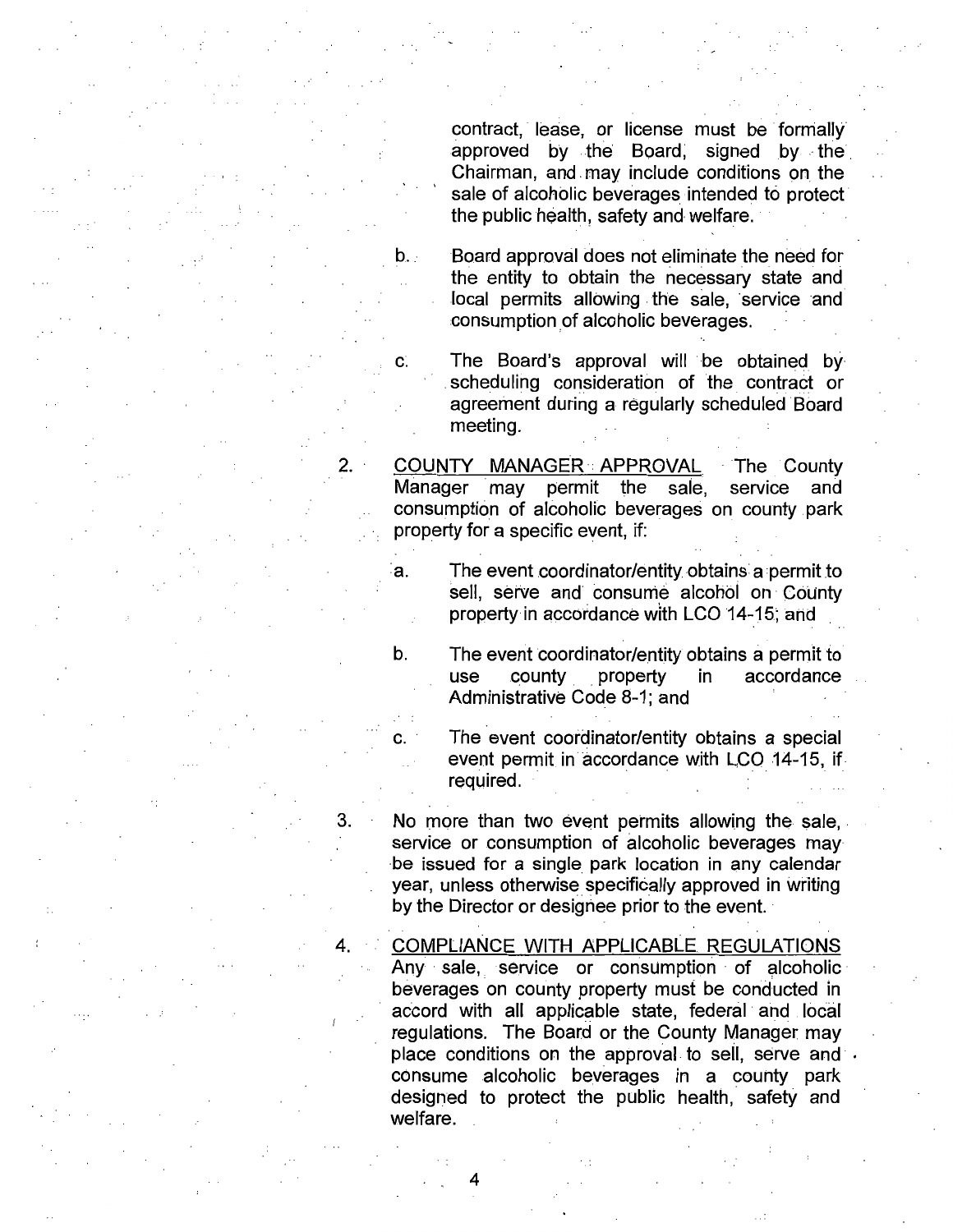contract, lease, or license must be formally approved by the Board, signed by the Chairman, and. may include conditions on the sale of alcoholic beverages intended to protect the public health, safety and welfare.

b. Board approval does not eliminate the need for the entity to obtain the necessary state and local permits allowing the sale, service and consumption of alcoholic beverages.

c. The Board's approval will be obtained by scheduling consideration of the contract or agreement during a regularly scheduled Board meeting.

COUNTY MANAGER APPROVAL The County Manager may permit the sale, service and consumption of alcoholic beverages on county park property for a specific event, if:

2.

a. The event coordinator/entity obtains a permit to sell, serve and consume alcohol on County property in accordance with LCO 14-15; and

b. The event coordinator/entity obtains a permit to<br>use county property in accordance accordance Administrative Code 8-1; and

c. · The event coordinator/entity obtains a special event permit in accordance with LCO 14-15, if required.

3. No more than two event permits allowing the sale, . service or consumption of alcoholic beverages may be issued for a single park location in any calendar year, unless otherwise specifically approved in writing by the Director or designee prior to the event.

4. COMPLIANCE WITH APPLICABLE REGULATIONS Any sale, service or consumption of alcoholic beverages on county property must be conducted in accord with all applicable state, federal and local regulations. The Board or the County Manager may place conditions on the approval to sell, serve and  $\cdot$ consume alcoholic beverages in a county park designed to protect the public health, safety and welfare.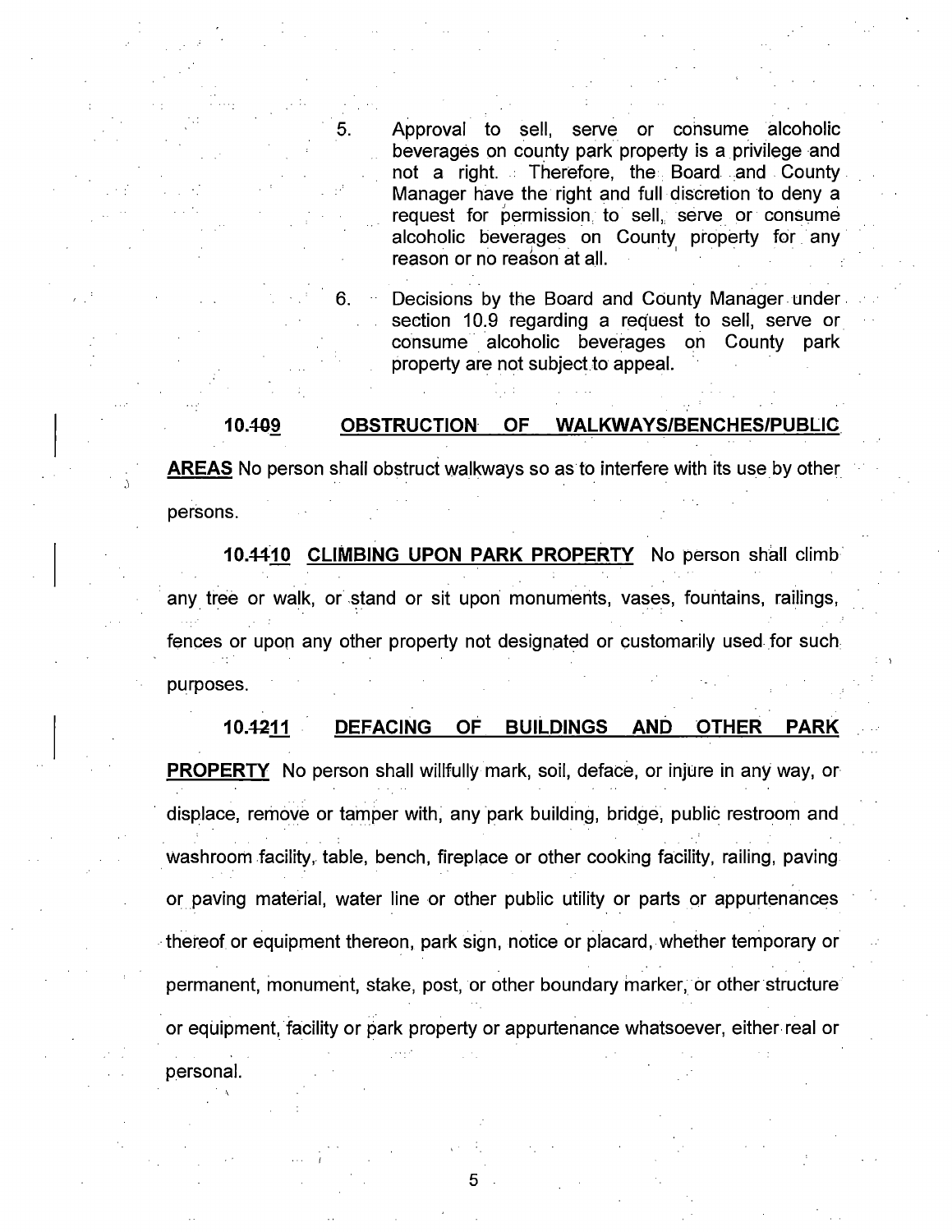5. Approval to sell, serve or consume alcoholic beverages on county park property is a privilege and not a right. Therefore, the Board and County Manager have the right and full discretion to deny a request for permission to sell, serve or consume alcoholic beverages on County property for any reason or no reason at all.

6. **Decisions by the Board and County Manager under.** section 10.9 regarding a request to sell, serve or consume alcoholic beverages on County park property are not subject to appeal.

#### **10.40~ OBSTRUCTION OF WALKWAYS/BENCHES/PUBLIC.**

**AREAS** No person shall obstruct walkways so as to interfere with its use by other persons.

**10.#10 CLIMBING UPON PARK PROPERTY** No person shall climb any tree or walk, or stand or sit upon monuments, vases, fountains, railings, fences or upon any other property not designated or customarily used for such purposes.

## 10.4211 DEFACING OF BUILDINGS AND OTHER PARK

**PROPERTY** No person shall willfully mark, soil, deface, or injure in any way, or displace, remove or tamper with, any park building, bridge, public restroom and washroom facility, table, bench, fireplace or other cooking facility, railing, paving or paving material, water line or other public utility or parts or appurtenances -thereof or equipment thereon, park sign, notice or placard, whether temporary or permanent, monument, stake, post, or other boundary marker, or other structure or equipment, facility or park property or appurtenance whatsoever, either real or

5

personal.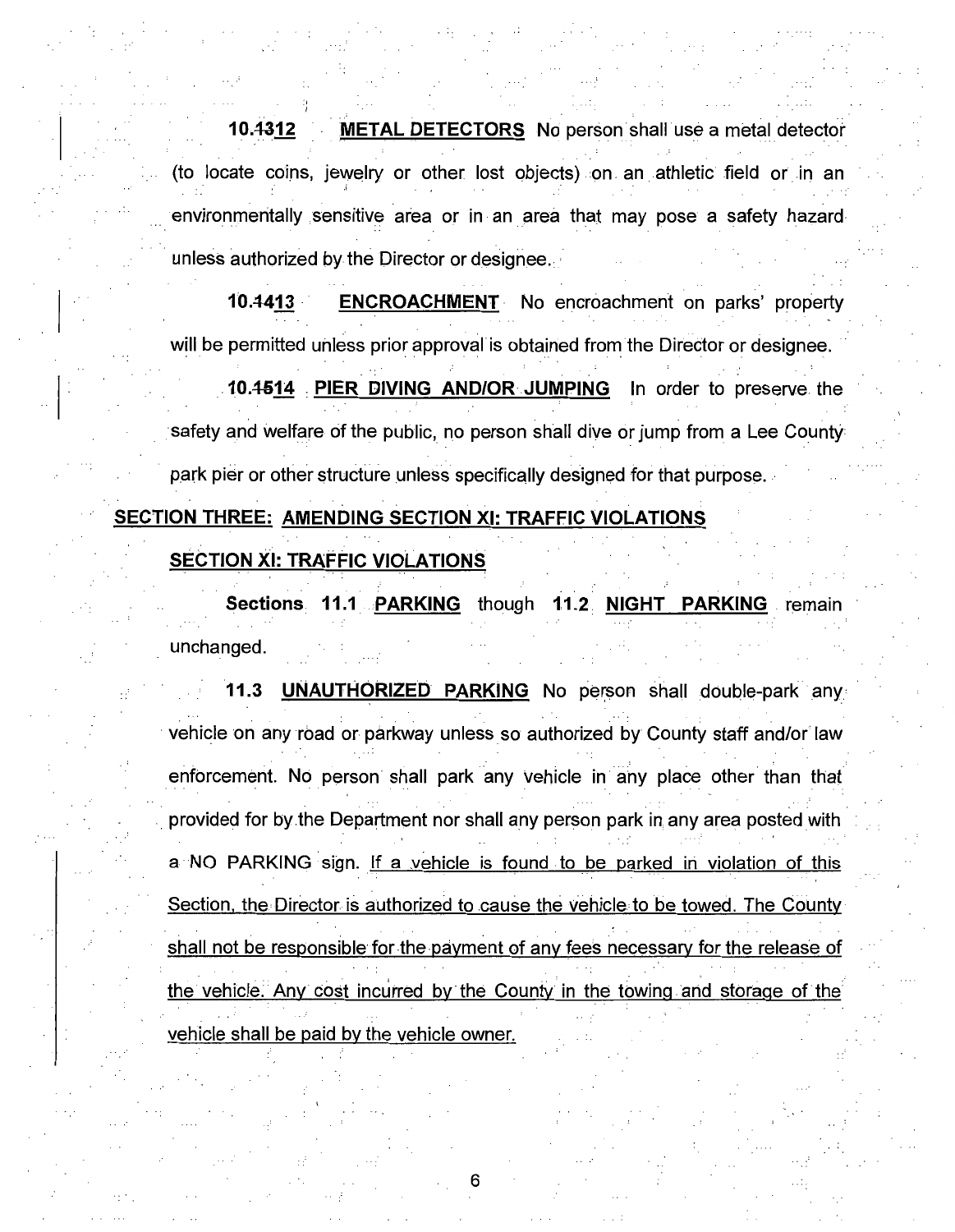**10.4312 METAL DETECTORS** No person shall use a metal detector (to locate coins, jewelry or other lost objects) on an athletic field or in an environmentally sensitive area or in an area that may pose a safety hazard unless authorized by the Director or designee.

**10.4413 •• ENCROACHMENT** No encroachment on parks' property will be permitted unless prior approval is obtained from the Director or designee.

**. 10.4514 : PIER DIVING AND/OR JUMPING** In order to preserve. the safety and welfare of the public, no person shall dive or jump from a Lee County park pier or other structure unless specifically designed for that purpose. . .

## **SECTION THREE: AMENDING SECTION XI: TRAFFIC VIOLATIONS**

## **SECTION XI: TRAFFIC VIOLATIONS**

**Sections. 11.1 :PARKING** though **1.1.2. NIGHT PARKING** . remain unchanged.

**11.3 UNAUTHORIZED PARKING** No person shall double-park any vehicle on any road or parkway unless so authorized by County staff and/or law . . . . . enforcement. No person shall park any vehicle in any place other than that provided for by the Department nor shall any person park in any area posted with a NO PARKING sign. If a vehicle is found to be parked in violation of this Section, the Director is authorized to cause the vehicle. to be towed. The CoUnty shall not be responsible for the payment of any fees necessary for the release of the vehicle. Any cost incurred by the County in the towing and storage of the vehicle shall be paid by the vehicle owner.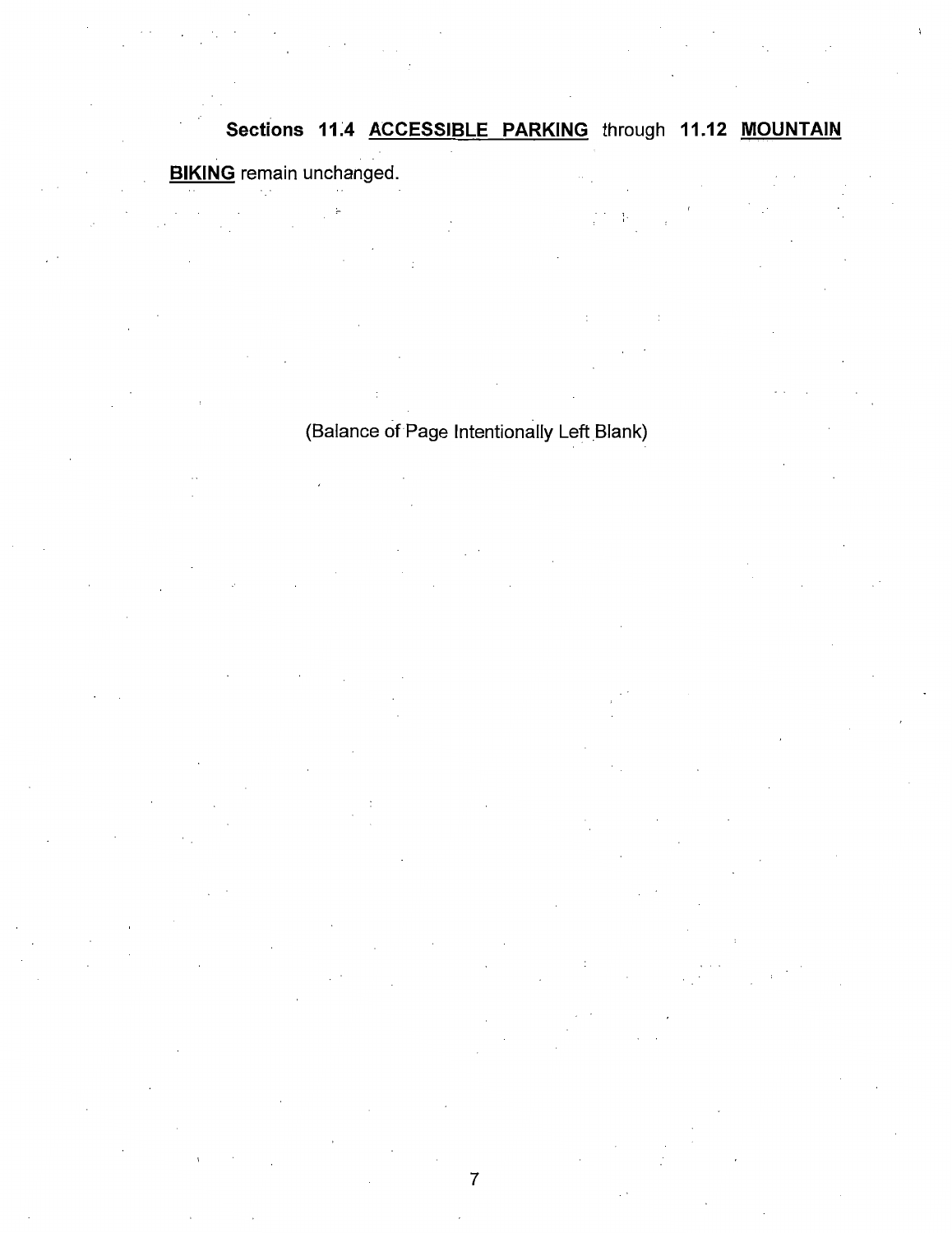# **Sections 11;4 ACCESSIBLE PARKING** through **11.12 MOUNTAIN BIKING** remain unchanged.

## (Balance of Page Intentionally Left Blank)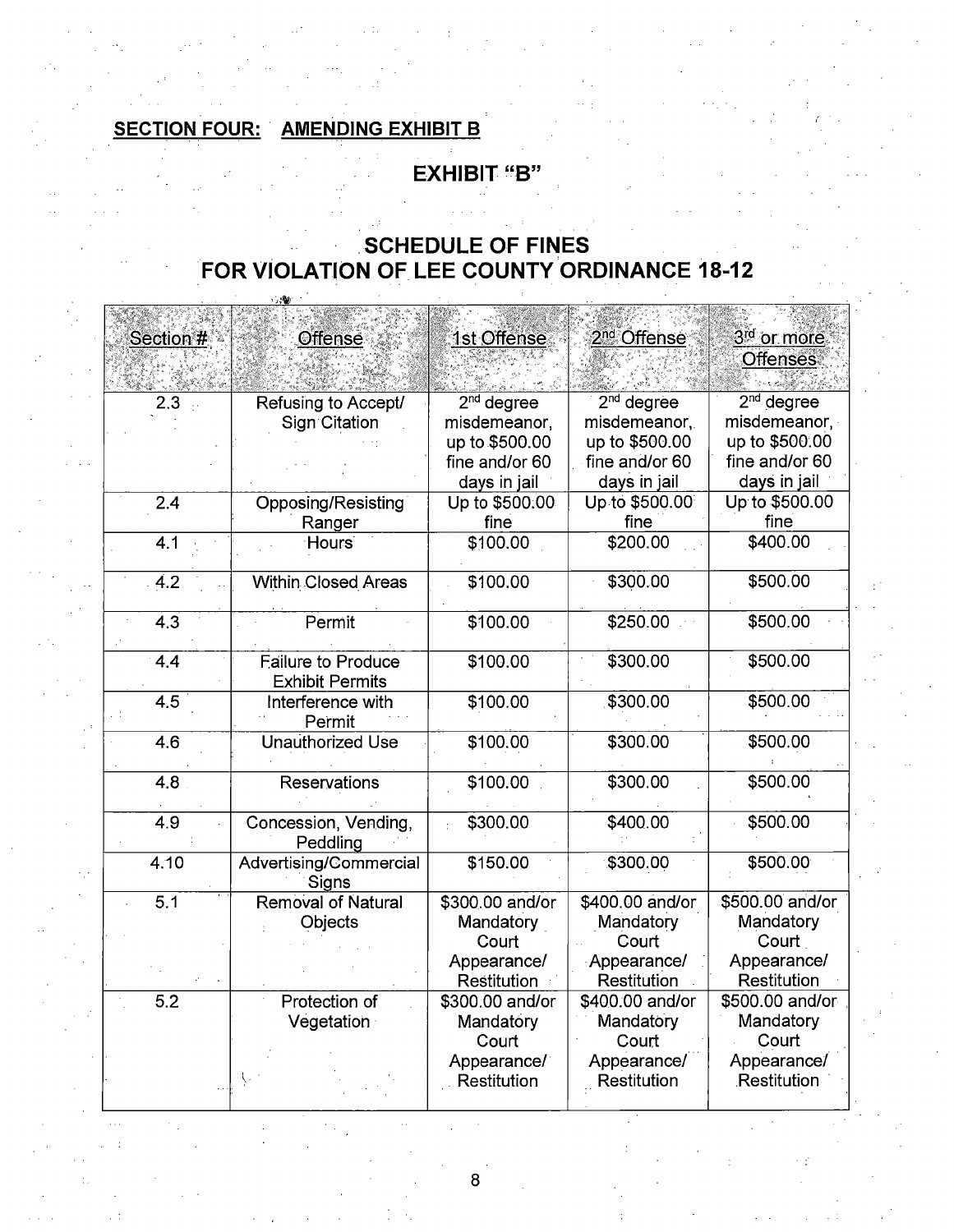#### **AMENDING EXHIBIT B SECTION FOUR:**

## **EXHIBIT "B"**

## **SCHEDULE OF FINES** FOR VIOLATION OF LEE COUNTY ORDINANCE 18-12

| Section #        | Offense                            | 1st Offense        | 2 <sup>nd</sup> Offense      | 3 <sup>rd</sup> or more |
|------------------|------------------------------------|--------------------|------------------------------|-------------------------|
|                  |                                    |                    |                              | <b>Offenses</b>         |
|                  |                                    |                    |                              |                         |
| 2.3              | Refusing to Accept/                | $2nd$ degree       | $2nd$ degree                 | 2 <sup>nd</sup> degree  |
|                  | <b>Sign Citation</b>               | misdemeanor,       | misdemeanor.                 | misdemeanor,            |
|                  |                                    | up to \$500.00     | up to \$500.00               | up to \$500.00          |
|                  |                                    | fine and/or 60     | fine and/or 60               | fine and/or 60          |
|                  |                                    | days in jail       | days in jail                 | days in jail            |
| $\overline{2.4}$ | Opposing/Resisting                 | Up to \$500.00     | Up to \$500.00               | Up to \$500.00          |
|                  | Ranger                             | fine               | fine                         | fine                    |
| 4.1              | <b>Hours</b>                       | \$100.00           | \$200.00                     | \$400.00                |
|                  |                                    |                    |                              |                         |
| 4.2              | <b>Within Closed Areas</b>         | \$100.00           | \$300.00                     | \$500.00                |
|                  |                                    |                    |                              |                         |
| $\overline{4.3}$ | Permit                             | \$100.00           | \$250.00                     | \$500.00                |
|                  |                                    |                    |                              |                         |
| 4.4              | <b>Failure to Produce</b>          | \$100.00           | \$300.00                     | \$500.00                |
|                  | <b>Exhibit Permits</b>             |                    |                              |                         |
| $\overline{4.5}$ | Interference with                  | \$100.00           | \$300.00                     | \$500.00                |
|                  | Permit                             |                    |                              |                         |
| 4.6              | <b>Unauthorized Use</b>            | \$100.00           | \$300.00                     | \$500.00                |
|                  |                                    |                    |                              |                         |
| $\overline{4.8}$ | Reservations                       | \$100.00           | \$300.00                     | \$500.00                |
|                  |                                    |                    |                              |                         |
| $\overline{4.9}$ | Concession, Vending,               | \$300.00           | \$400.00                     | \$500.00                |
|                  | Peddling                           |                    |                              |                         |
| 4.10             | Advertising/Commercial             | \$150.00           | \$300.00                     | \$500.00                |
| $\overline{5.1}$ | Signs<br><b>Removal of Natural</b> |                    |                              | \$500.00 and/or         |
|                  |                                    | \$300.00 and/or    | \$400.00 and/or<br>Mandatory | Mandatory               |
|                  | Objects                            | Mandatory<br>Court | Court                        | Court                   |
|                  |                                    | Appearance/        | Appearance/                  | Appearance/             |
|                  |                                    | Restitution        | Restitution                  | Restitution             |
| $\overline{5.2}$ | Protection of                      | \$300.00 and/or    | \$400.00 and/or              | \$500.00 and/or         |
|                  | Vegetation                         | Mandatory          | Mandatory                    | Mandatory               |
|                  |                                    | Court              | Court                        | Court                   |
|                  |                                    | Appearance/        | Appearance/                  | Appearance/             |
|                  |                                    | Restitution        | Restitution                  | Restitution             |
|                  |                                    |                    |                              |                         |

 $\bf8$ 

 $\sim$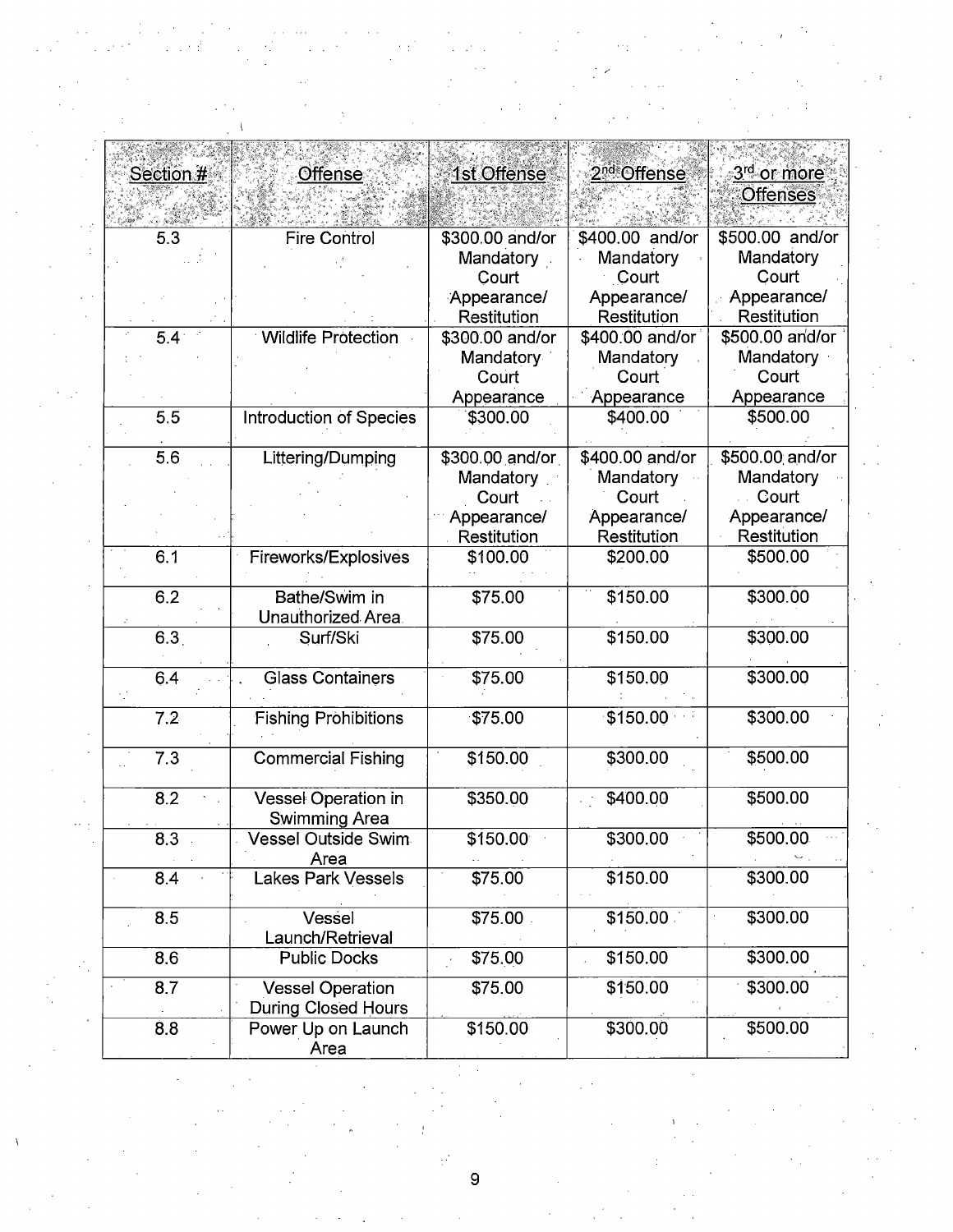| Section #        | Offense                                               | 1st Offense                  | 2 <sup>nd</sup> Offense      | 3 <sup>rd</sup> or more      |
|------------------|-------------------------------------------------------|------------------------------|------------------------------|------------------------------|
|                  |                                                       |                              |                              | <b>Offenses</b>              |
| 5.3              | <b>Fire Control</b>                                   | \$300.00 and/or              | \$400.00 and/or              | \$500.00 and/or              |
|                  |                                                       | Mandatory<br>Court           | Mandatory<br>Court           | Mandatory<br>Court           |
|                  |                                                       | Appearance/<br>Restitution   | Appearance/<br>Restitution   | Appearance/<br>Restitution   |
| 5.4 <sup>°</sup> | <b>Wildlife Protection</b>                            | \$300.00 and/or              | \$400.00 and/or              | \$500.00 and/or              |
|                  |                                                       | Mandatory<br>Court           | Mandatory<br>Court           | Mandatory<br>Court           |
| 5.5              | Introduction of Species                               | Appearance<br>\$300.00       | Appearance<br>\$400.00       | Appearance<br>\$500.00       |
|                  |                                                       |                              |                              |                              |
| 5.6              | Littering/Dumping                                     | \$300.00 and/or<br>Mandatory | \$400.00 and/or<br>Mandatory | \$500.00 and/or<br>Mandatory |
|                  |                                                       | Court                        | Court                        | Court                        |
|                  |                                                       | Appearance/<br>Restitution   | Appearance/<br>Restitution   | Appearance/<br>Restitution   |
| 6.1              | Fireworks/Explosives                                  | \$100.00                     | \$200.00                     | \$500.00                     |
| 6.2              | Bathe/Swim in<br>Unauthorized Area.                   | \$75.00                      | \$150.00                     | \$300.00                     |
| 6.3              | Surf/Ski                                              | \$75.00                      | \$150.00                     | \$300.00                     |
| 6.4              | <b>Glass Containers</b>                               | \$75.00                      | \$150.00                     | \$300.00                     |
| 7.2              | <b>Fishing Prohibitions</b>                           | \$75.00                      | \$150.00                     | \$300.00                     |
| 7.3              | <b>Commercial Fishing</b>                             | \$150.00                     | \$300.00                     | \$500.00                     |
| 8.2              | Vessel Operation in<br>Swimming Area                  | \$350.00                     | \$400.00                     | \$500.00                     |
| 8.3              | <b>Vessel Outside Swim</b><br>Area                    | \$150.00                     | \$300.00                     | \$500.00                     |
| 8.4              | <b>Lakes Park Vessels</b>                             | \$75.00                      | \$150.00                     | \$300.00                     |
| 8.5              | Vessel<br>Launch/Retrieval                            | \$75.00                      | \$150.00                     | \$300.00                     |
| 8.6              | <b>Public Docks</b>                                   | \$75.00                      | \$150.00                     | \$300.00                     |
| 8.7              | <b>Vessel Operation</b><br><b>During Closed Hours</b> | \$75.00                      | \$150.00                     | \$300.00                     |
| 8.8              | Power Up on Launch<br>Area                            | \$150.00                     | \$300.00                     | \$500.00                     |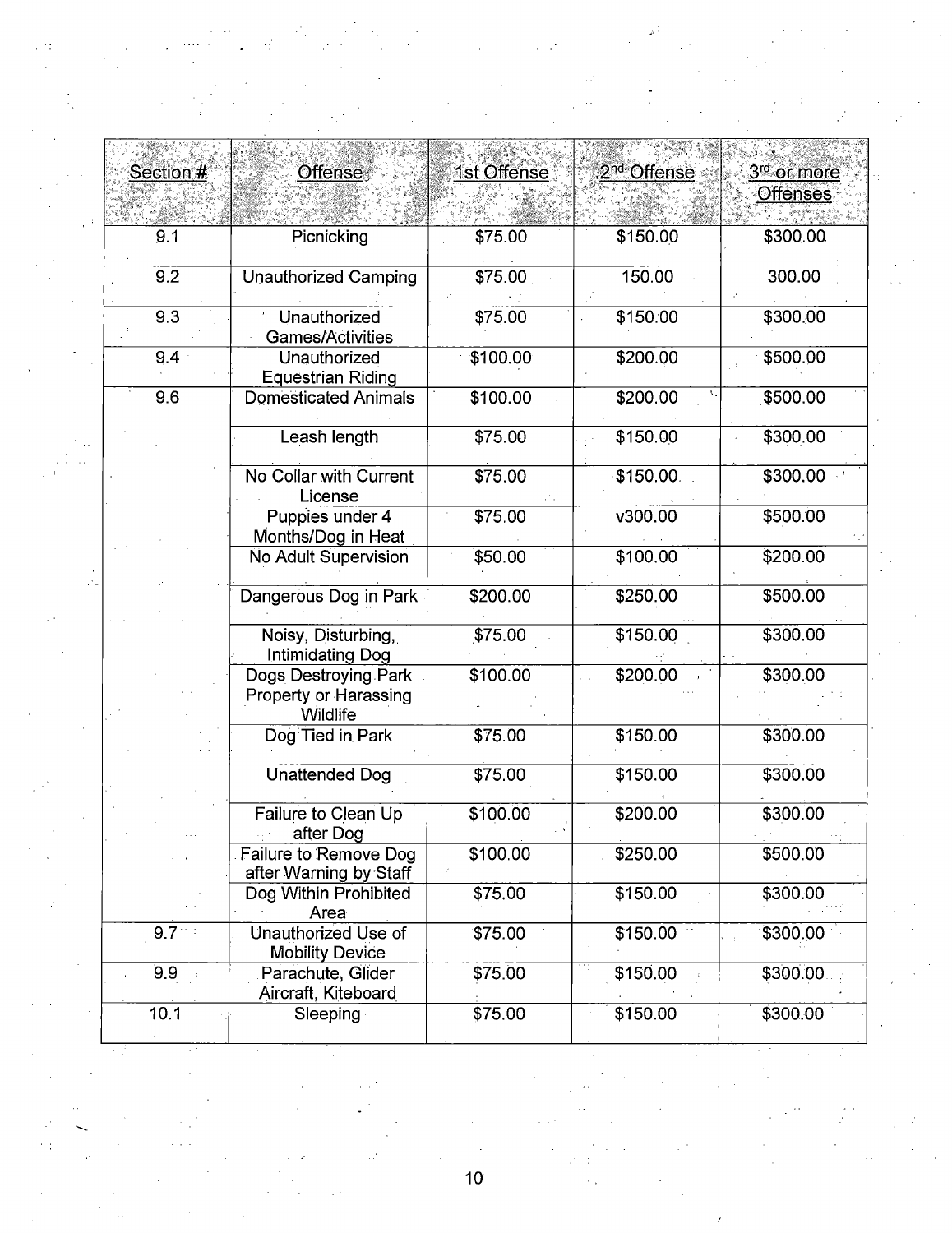| Section # | <b>Offense</b>                                            | 1st Offense | 2 <sup>nd</sup> Offense | 3 <sup>rd</sup> or more |  |
|-----------|-----------------------------------------------------------|-------------|-------------------------|-------------------------|--|
|           |                                                           |             |                         | Offenses                |  |
| 9.1       | Picnicking                                                | \$75.00     | \$150.00                | \$300.00                |  |
| 9.2       | <b>Unauthorized Camping</b>                               | \$75.00     | 150.00                  | 300.00                  |  |
| 9.3       | Unauthorized<br>Games/Activities                          | \$75.00     | \$150.00                | \$300.00                |  |
| 9.4       | Unauthorized<br><b>Equestrian Riding</b>                  | \$100.00    | \$200.00                | \$500.00                |  |
| 9.6       | <b>Domesticated Animals</b>                               | \$100.00    | \$200.00                | \$500.00                |  |
|           | Leash length                                              | \$75.00     | \$150.00                | \$300.00                |  |
|           | No Collar with Current<br>License                         | \$75.00     | \$150.00                | \$300.00                |  |
|           | Puppies under 4<br>Months/Dog in Heat                     | \$75.00     | V300.00                 | \$500.00                |  |
|           | No Adult Supervision                                      | \$50.00     | \$100.00                | \$200.00                |  |
|           | Dangerous Dog in Park                                     | \$200.00    | \$250,00                | \$500.00                |  |
|           | Noisy, Disturbing,<br>Intimidating Dog                    | \$75.00     | \$150.00                | \$300.00                |  |
|           | Dogs Destroying Park<br>Property or Harassing<br>Wildlife | \$100.00    | \$200.00                | \$300.00                |  |
|           | Dog Tied in Park                                          | \$75.00     | \$150.00                | \$300.00                |  |
|           | <b>Unattended Dog</b>                                     | \$75.00     | \$150.00                | \$300.00                |  |
|           | Failure to Clean Up<br>after Dog                          | \$100.00    | \$200.00                | \$300.00                |  |
|           | Failure to Remove Dog<br>after Warning by Staff           | \$100.00    | \$250.00                | \$500.00                |  |
|           | Dog Within Prohibited<br>Area                             | \$75.00     | \$150.00                | \$300.00                |  |
| $9.7 - 1$ | Unauthorized Use of<br><b>Mobility Device</b>             | \$75.00     | \$150.00                | \$300.00                |  |
| 99        | Parachute, Glider<br>Aircraft, Kiteboard                  | \$75.00     | \$150.00                | \$300.00                |  |
| 10.1      | Sleeping                                                  | \$75.00     | \$150.00                | \$300.00                |  |

 $\label{eq:1} \frac{1}{\sqrt{2}}\int_{0}^{1} \frac{1}{\sqrt{2}}\left(\frac{1}{\sqrt{2}}\right)^{2}dx\leq \frac{1}{2}\int_{0}^{1} \frac{1}{\sqrt{2}}\left(\frac{1}{\sqrt{2}}\right)^{2}dx$ 

 $\frac{1}{2}$ 

 $\mathcal{F}^{(2)}_{\text{max}}$  ,  $\mathcal{F}^{(2)}_{\text{max}}$ 

 $\sim$  $10<sub>1</sub>$ 

 $\frac{1}{2}$ 

 $\mathcal{E}^{\prime}$  $\sim$   $\sim$ 

 $\frac{1}{2}$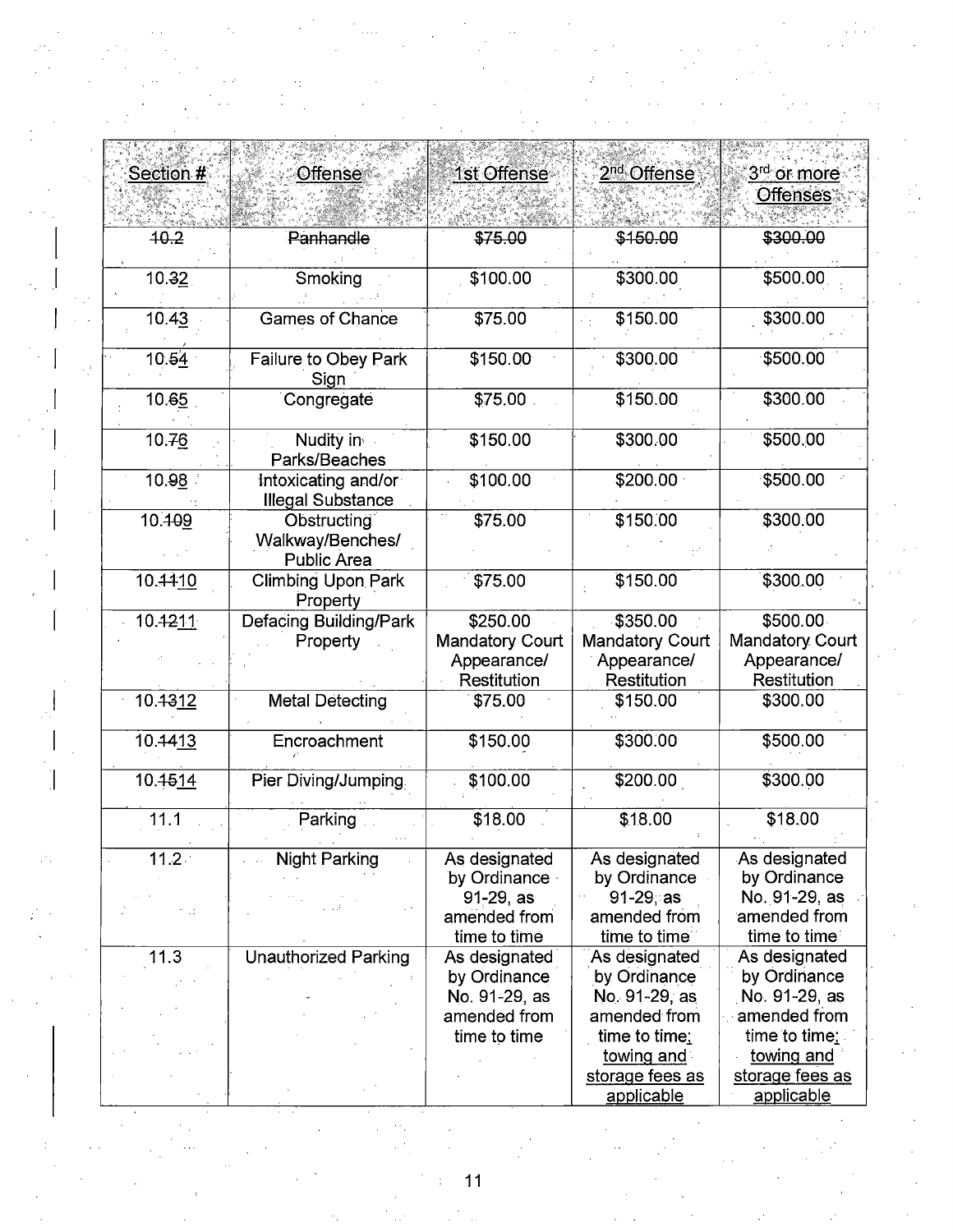| <b>Offense</b><br>1st Offense<br>2 <sup>nd</sup> Offense<br>3 <sup>rd</sup> or more<br>Section #<br><b>Offenses</b><br>40.2<br>\$75.00<br>\$300.00<br>Panhandle<br>\$150.00<br>\$500.00<br>Smoking<br>\$300.00<br>10.32<br>\$100.00<br>\$150.00<br>\$300.00<br><b>Games of Chance</b><br>10.43<br>\$75.00<br>10.54<br>\$500.00<br>\$300.00<br>Failure to Obey Park<br>\$150.00<br>Sign<br>\$150.00<br>\$300.00<br>10.65<br>\$75.00<br>Congregate<br>10.76<br>Nudity in<br>\$500.00<br>\$150.00<br>\$300.00<br>Parks/Beaches<br>\$200.00<br>\$500.00<br>10.98<br>\$100.00<br>Intoxicating and/or<br><b>Illegal Substance</b><br>10.409<br>\$75.00<br>\$150.00<br>\$300.00<br>Obstructing<br>Walkway/Benches/<br><b>Public Area</b><br>10.4410<br>\$150.00<br>\$300.00<br><b>Climbing Upon Park</b><br>\$75.00<br>Property<br>\$500.00<br>\$250.00<br>\$350.00 |
|--------------------------------------------------------------------------------------------------------------------------------------------------------------------------------------------------------------------------------------------------------------------------------------------------------------------------------------------------------------------------------------------------------------------------------------------------------------------------------------------------------------------------------------------------------------------------------------------------------------------------------------------------------------------------------------------------------------------------------------------------------------------------------------------------------------------------------------------------------------|
|                                                                                                                                                                                                                                                                                                                                                                                                                                                                                                                                                                                                                                                                                                                                                                                                                                                              |
|                                                                                                                                                                                                                                                                                                                                                                                                                                                                                                                                                                                                                                                                                                                                                                                                                                                              |
|                                                                                                                                                                                                                                                                                                                                                                                                                                                                                                                                                                                                                                                                                                                                                                                                                                                              |
|                                                                                                                                                                                                                                                                                                                                                                                                                                                                                                                                                                                                                                                                                                                                                                                                                                                              |
|                                                                                                                                                                                                                                                                                                                                                                                                                                                                                                                                                                                                                                                                                                                                                                                                                                                              |
|                                                                                                                                                                                                                                                                                                                                                                                                                                                                                                                                                                                                                                                                                                                                                                                                                                                              |
|                                                                                                                                                                                                                                                                                                                                                                                                                                                                                                                                                                                                                                                                                                                                                                                                                                                              |
|                                                                                                                                                                                                                                                                                                                                                                                                                                                                                                                                                                                                                                                                                                                                                                                                                                                              |
|                                                                                                                                                                                                                                                                                                                                                                                                                                                                                                                                                                                                                                                                                                                                                                                                                                                              |
|                                                                                                                                                                                                                                                                                                                                                                                                                                                                                                                                                                                                                                                                                                                                                                                                                                                              |
|                                                                                                                                                                                                                                                                                                                                                                                                                                                                                                                                                                                                                                                                                                                                                                                                                                                              |
|                                                                                                                                                                                                                                                                                                                                                                                                                                                                                                                                                                                                                                                                                                                                                                                                                                                              |
|                                                                                                                                                                                                                                                                                                                                                                                                                                                                                                                                                                                                                                                                                                                                                                                                                                                              |
|                                                                                                                                                                                                                                                                                                                                                                                                                                                                                                                                                                                                                                                                                                                                                                                                                                                              |
|                                                                                                                                                                                                                                                                                                                                                                                                                                                                                                                                                                                                                                                                                                                                                                                                                                                              |
|                                                                                                                                                                                                                                                                                                                                                                                                                                                                                                                                                                                                                                                                                                                                                                                                                                                              |
|                                                                                                                                                                                                                                                                                                                                                                                                                                                                                                                                                                                                                                                                                                                                                                                                                                                              |
|                                                                                                                                                                                                                                                                                                                                                                                                                                                                                                                                                                                                                                                                                                                                                                                                                                                              |
|                                                                                                                                                                                                                                                                                                                                                                                                                                                                                                                                                                                                                                                                                                                                                                                                                                                              |
|                                                                                                                                                                                                                                                                                                                                                                                                                                                                                                                                                                                                                                                                                                                                                                                                                                                              |
|                                                                                                                                                                                                                                                                                                                                                                                                                                                                                                                                                                                                                                                                                                                                                                                                                                                              |
|                                                                                                                                                                                                                                                                                                                                                                                                                                                                                                                                                                                                                                                                                                                                                                                                                                                              |
| 10.4211<br><b>Defacing Building/Park</b>                                                                                                                                                                                                                                                                                                                                                                                                                                                                                                                                                                                                                                                                                                                                                                                                                     |
| <b>Mandatory Court</b><br><b>Mandatory Court</b><br><b>Mandatory Court</b><br>Property                                                                                                                                                                                                                                                                                                                                                                                                                                                                                                                                                                                                                                                                                                                                                                       |
| Appearance/<br>Appearance/<br>Appearance/                                                                                                                                                                                                                                                                                                                                                                                                                                                                                                                                                                                                                                                                                                                                                                                                                    |
| Restitution<br>Restitution<br>Restitution                                                                                                                                                                                                                                                                                                                                                                                                                                                                                                                                                                                                                                                                                                                                                                                                                    |
| 10.4312<br><b>Metal Detecting</b><br>\$150.00<br>\$300.00<br>\$75.00                                                                                                                                                                                                                                                                                                                                                                                                                                                                                                                                                                                                                                                                                                                                                                                         |
|                                                                                                                                                                                                                                                                                                                                                                                                                                                                                                                                                                                                                                                                                                                                                                                                                                                              |
| \$300.00<br>10.4413<br>Encroachment<br>\$500.00<br>\$150.00                                                                                                                                                                                                                                                                                                                                                                                                                                                                                                                                                                                                                                                                                                                                                                                                  |
|                                                                                                                                                                                                                                                                                                                                                                                                                                                                                                                                                                                                                                                                                                                                                                                                                                                              |
| Pier Diving/Jumping.<br>\$200.00<br>\$300.00<br>10.4514<br>\$100.00                                                                                                                                                                                                                                                                                                                                                                                                                                                                                                                                                                                                                                                                                                                                                                                          |
|                                                                                                                                                                                                                                                                                                                                                                                                                                                                                                                                                                                                                                                                                                                                                                                                                                                              |
| 11.1<br>\$18.00<br>\$18.00<br>Parking<br>\$18.00                                                                                                                                                                                                                                                                                                                                                                                                                                                                                                                                                                                                                                                                                                                                                                                                             |
|                                                                                                                                                                                                                                                                                                                                                                                                                                                                                                                                                                                                                                                                                                                                                                                                                                                              |
| $11.2 -$<br><b>Night Parking</b><br>As designated<br>As designated<br>As designated                                                                                                                                                                                                                                                                                                                                                                                                                                                                                                                                                                                                                                                                                                                                                                          |
| by Ordinance<br>by Ordinance<br>by Ordinance                                                                                                                                                                                                                                                                                                                                                                                                                                                                                                                                                                                                                                                                                                                                                                                                                 |
| $91 - 29$ ; as<br>No. 91-29, as<br>91-29, as                                                                                                                                                                                                                                                                                                                                                                                                                                                                                                                                                                                                                                                                                                                                                                                                                 |
| amended from<br>amended from<br>amended from                                                                                                                                                                                                                                                                                                                                                                                                                                                                                                                                                                                                                                                                                                                                                                                                                 |
| time to time<br>time to time<br>time to time                                                                                                                                                                                                                                                                                                                                                                                                                                                                                                                                                                                                                                                                                                                                                                                                                 |
| 11.3<br><b>Unauthorized Parking</b><br>As designated<br>As designated<br>As designated<br>by Ordinance                                                                                                                                                                                                                                                                                                                                                                                                                                                                                                                                                                                                                                                                                                                                                       |
| by Ordinance<br>by Ordinance<br>No. 91-29, as<br>No. 91-29, as<br>No. 91-29, as                                                                                                                                                                                                                                                                                                                                                                                                                                                                                                                                                                                                                                                                                                                                                                              |
| amended from<br>amended from<br>$\therefore$ amended from                                                                                                                                                                                                                                                                                                                                                                                                                                                                                                                                                                                                                                                                                                                                                                                                    |
| time to time;<br>time to time<br>time to time;                                                                                                                                                                                                                                                                                                                                                                                                                                                                                                                                                                                                                                                                                                                                                                                                               |
| towing and<br>towing and                                                                                                                                                                                                                                                                                                                                                                                                                                                                                                                                                                                                                                                                                                                                                                                                                                     |
| storage fees as<br>storage fees as                                                                                                                                                                                                                                                                                                                                                                                                                                                                                                                                                                                                                                                                                                                                                                                                                           |
| applicable<br>applicable                                                                                                                                                                                                                                                                                                                                                                                                                                                                                                                                                                                                                                                                                                                                                                                                                                     |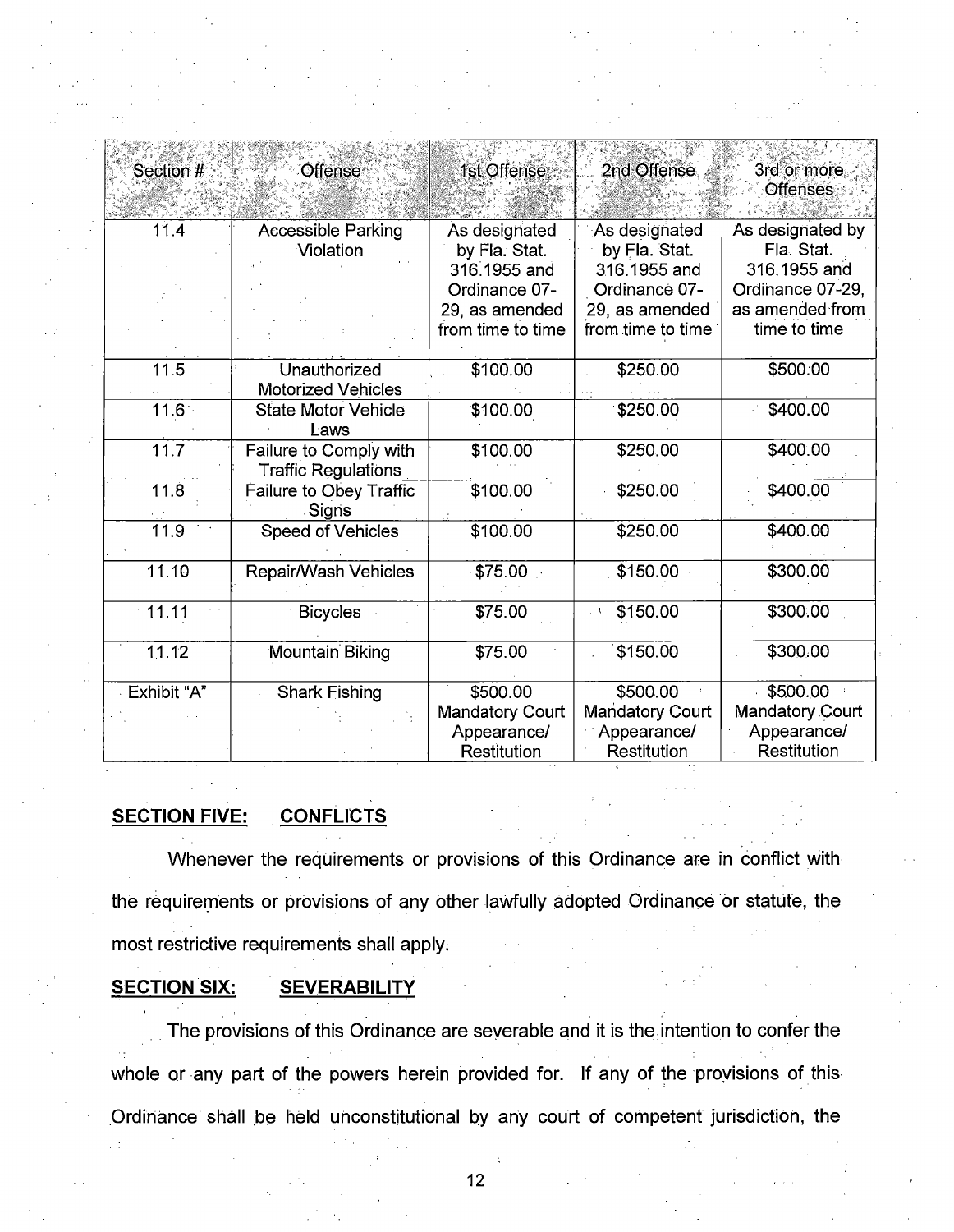| Section #   | Offense                    | 1st Offense            | 2nd Offense            | 3rd or more<br><b>Offenses</b> |  |
|-------------|----------------------------|------------------------|------------------------|--------------------------------|--|
| 11.4        | <b>Accessible Parking</b>  | As designated          | As designated          | As designated by               |  |
|             | Violation                  | by Fla. Stat.          | by Fla. Stat.          | Fla. Stat.                     |  |
|             |                            | 316,1955 and           | 316.1955 and           | 316,1955 and                   |  |
|             |                            | Ordinance 07-          | Ordinance 07-          | Ordinance 07-29,               |  |
|             |                            | 29, as amended         | 29, as amended         | as amended from                |  |
|             |                            | from time to time      | from time to time      | time to time                   |  |
| 11.5        | Unauthorized               | \$100.00               | \$250.00               | \$500.00                       |  |
|             | <b>Motorized Vehicles</b>  |                        |                        |                                |  |
| 11.6        | <b>State Motor Vehicle</b> | \$100.00               | \$250.00               | \$400.00                       |  |
|             | Laws                       |                        |                        |                                |  |
| 11.7        | Failure to Comply with     | \$100.00               | \$250.00               | \$400.00                       |  |
|             | <b>Traffic Regulations</b> |                        |                        |                                |  |
| 11.8        | Failure to Obey Traffic    | \$100.00               | \$250.00               | \$400.00                       |  |
|             | Signs                      |                        |                        |                                |  |
| 11.9        | <b>Speed of Vehicles</b>   | \$100.00               | \$250.00               | \$400.00                       |  |
|             |                            |                        |                        |                                |  |
| 11.10       | Repair/Wash Vehicles       | \$75.00                | \$150.00               | \$300.00                       |  |
| $-11.11$    | <b>Bicycles</b>            | \$75.00                | \$150.00               | \$300.00                       |  |
|             |                            |                        |                        |                                |  |
| 11.12       | <b>Mountain Biking</b>     | \$75.00                | \$150.00               | \$300.00                       |  |
|             |                            |                        |                        |                                |  |
| Exhibit "A" | <b>Shark Fishing</b>       | \$500.00               | \$500.00               | \$500.00                       |  |
|             |                            | <b>Mandatory Court</b> | <b>Mandatory Court</b> | <b>Mandatory Court</b>         |  |
|             |                            | Appearance/            | Appearance/            | Appearance/                    |  |
|             |                            | Restitution            | Restitution            | Restitution                    |  |

#### **SECTION FIVE: CONFLICTS**

Whenever the requirements or provisions of this Ordinance are in conflict with the requirements or provisions of any other lawfully adopted Ordinance or statute, the most restrictive requirements shall apply.

#### **SECTION SIX: SEVERABILITY**

The provisions of this Ordinance are severable and it is the intention to confer the whole or any part of the powers herein provided for. If any of the provisions of this Ordinance shall be held unconstitutional by any court of competent jurisdiction, the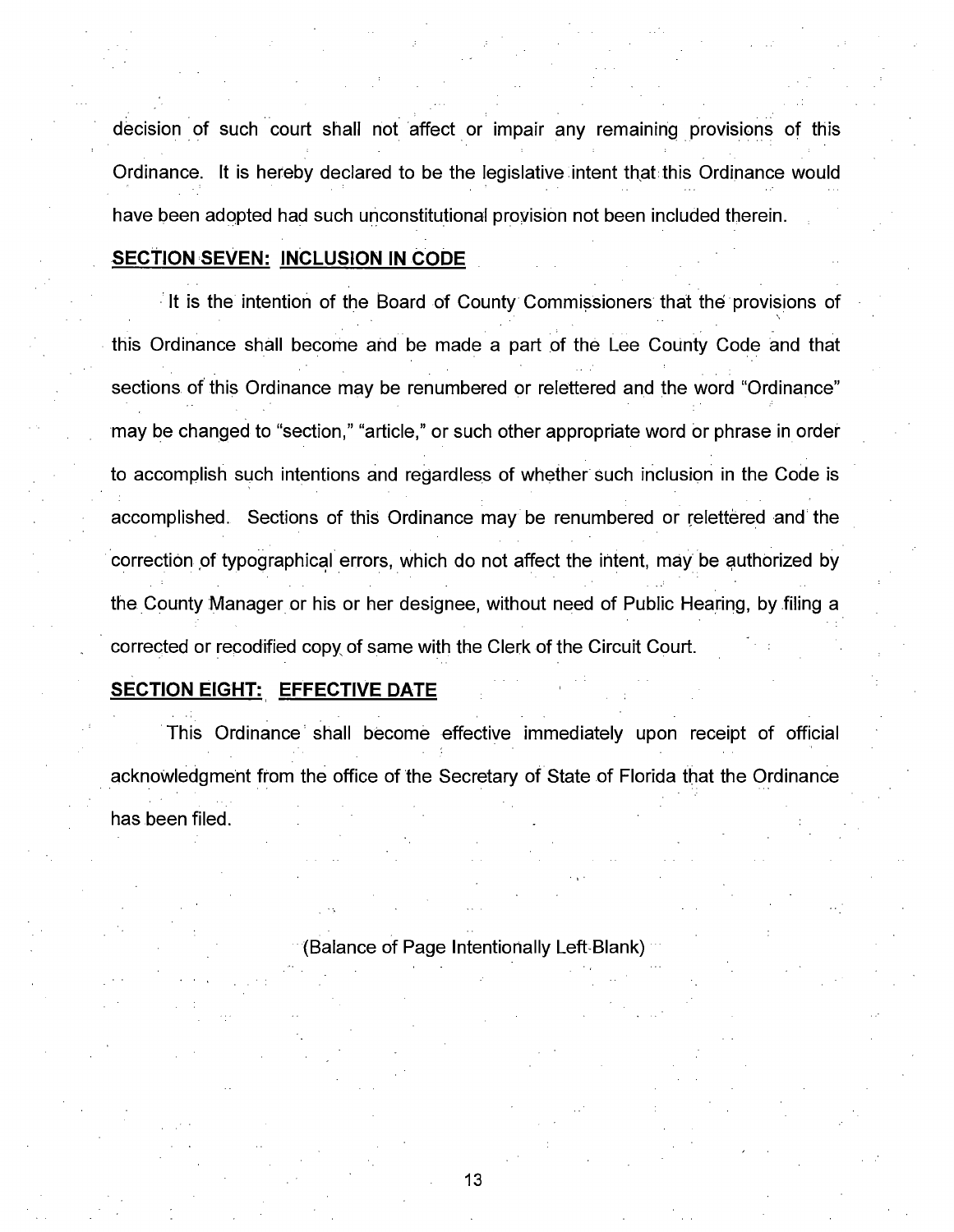decision of such court shall not affect or impair any remaining provisions of this Ordinance. It is hereby declared to be the legislative intent that this Ordinance would have been adopted had such unconstitutional provision not been included therein.

## **SECTION SEVEN: INCLUSION IN CODE**

It is the intention of the Board of County Commissioners that the provisions of  $\lambda$ this Ordinance shall become and be made a part of the Lee County Code and that sections of this Ordinance may be renumbered or relettered and the word "Ordinance" may be changed to "section," "article," or such other appropriate word or phrase in order to accomplish such intentions and regardless of whether such inclusion in the Code is accomplished. Sections of this Ordinance may be renumbered or relettered and the correction of typographical errors, which do not affect the intent, may be authorized by the County Manager or his or her designee, without need of Public Hearing, by filing a corrected or recodified copy, of same with the Clerk of the Circuit Court.

## **SECTION EIGHT: EFFECTIVE DATE**

This Ordinance shall become effective immediately upon receipt of official acknowledgment from the office of the Secretary of State of Florida that the Ordinance has been filed.

(Balance of Page Intentionally Left-Blank) ···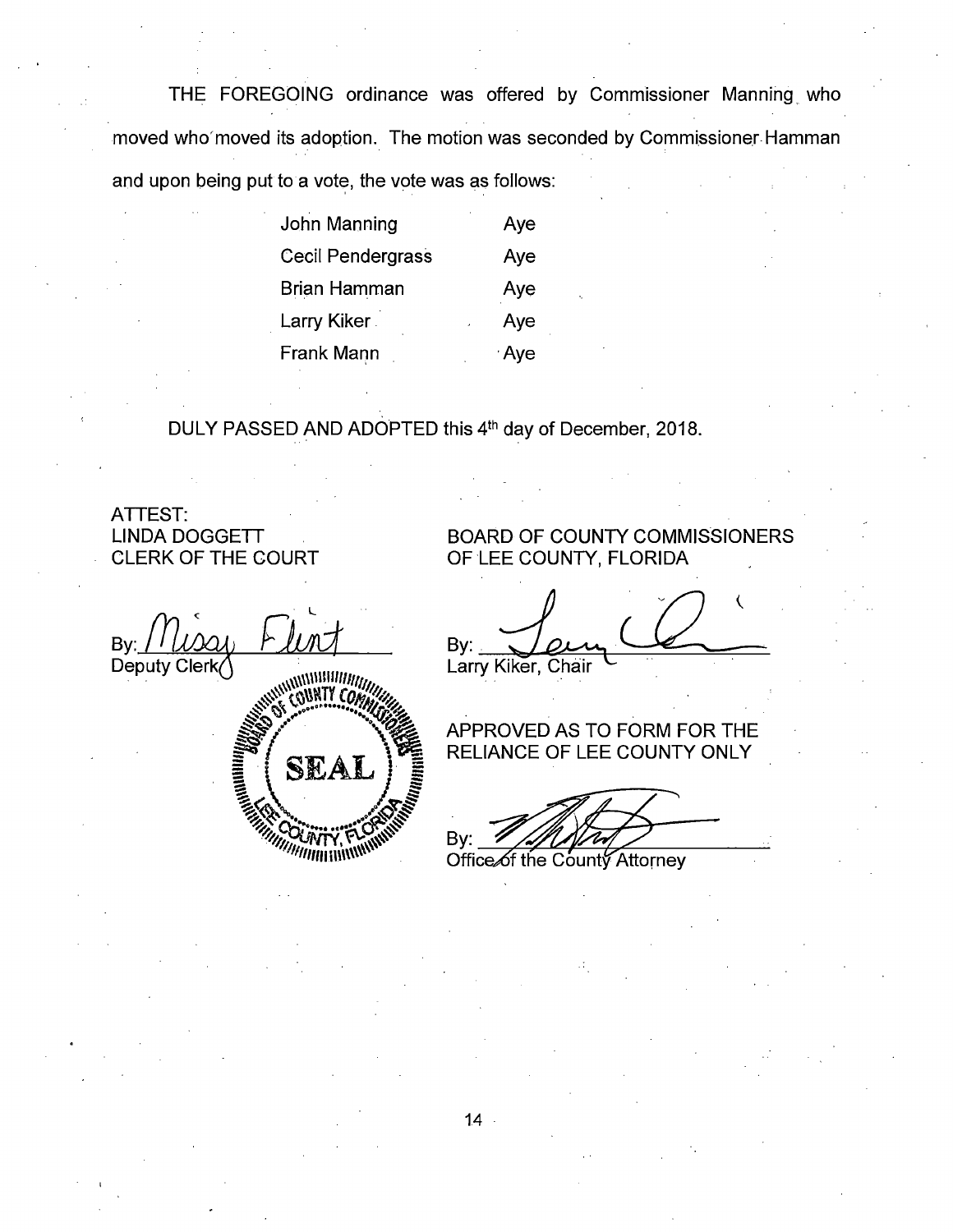THE FOREGOING ordinance was offered by Commissioner Manning\_ who moved who'moved its adoption. The motion was seconded by Commissioner Hamman and upon being put to a vote, the vote was as follows:

| John Manning             | Aye  |
|--------------------------|------|
| <b>Cecil Pendergrass</b> | Aye  |
| Brian Hamman             | Aye  |
| Larry Kiker              | Aye  |
| <b>Frank Mann</b>        | ≟Aye |

DULY PASSED AND ADOPTED this 4<sup>th</sup> day of December, 2018.

ATTEST: LINDA DOGGETT CLERK OF THE COURT

 $By:$   $\overbrace{M}$   $\overbrace{M}$   $\overbrace{M}$ Deputy Clerk . . . ~\\\\\\\\1111111111,,,,, *..#~* (;\\NTY *(Ot,;.* ~of! ~ ~\ (.! .............. *,?N.,;~*   $SLAI$ ::; ~ :::::: ;:::::; ~ ~~ . ~~ ~~..... --~~ <sup>~</sup>· '71/11':'lff-lN, a.;-:-\_!o•• ···~ \"'"". <sup>u</sup>  $^{\prime\prime}$  $\mathcal{L}_{\mathcal{H}^{\prime} \mathcal{H}^{\prime}}$ *'1!///fllfll* I\\\\\\\\\~

## BOARD OF COUNTY COMMISSIONERS OF LEE COUNTY, FLORIDA

By:  $\int_{\alpha}$ Larry Kiker, Chair  $\zeta$ 

## APPROVED AS TO FORM FOR THE RELIANCE OF LEE COUNTY ONLY

By:  $\mathbb{Z}/\mathbb{Z}/\mathbb{Z}$ 

**Office**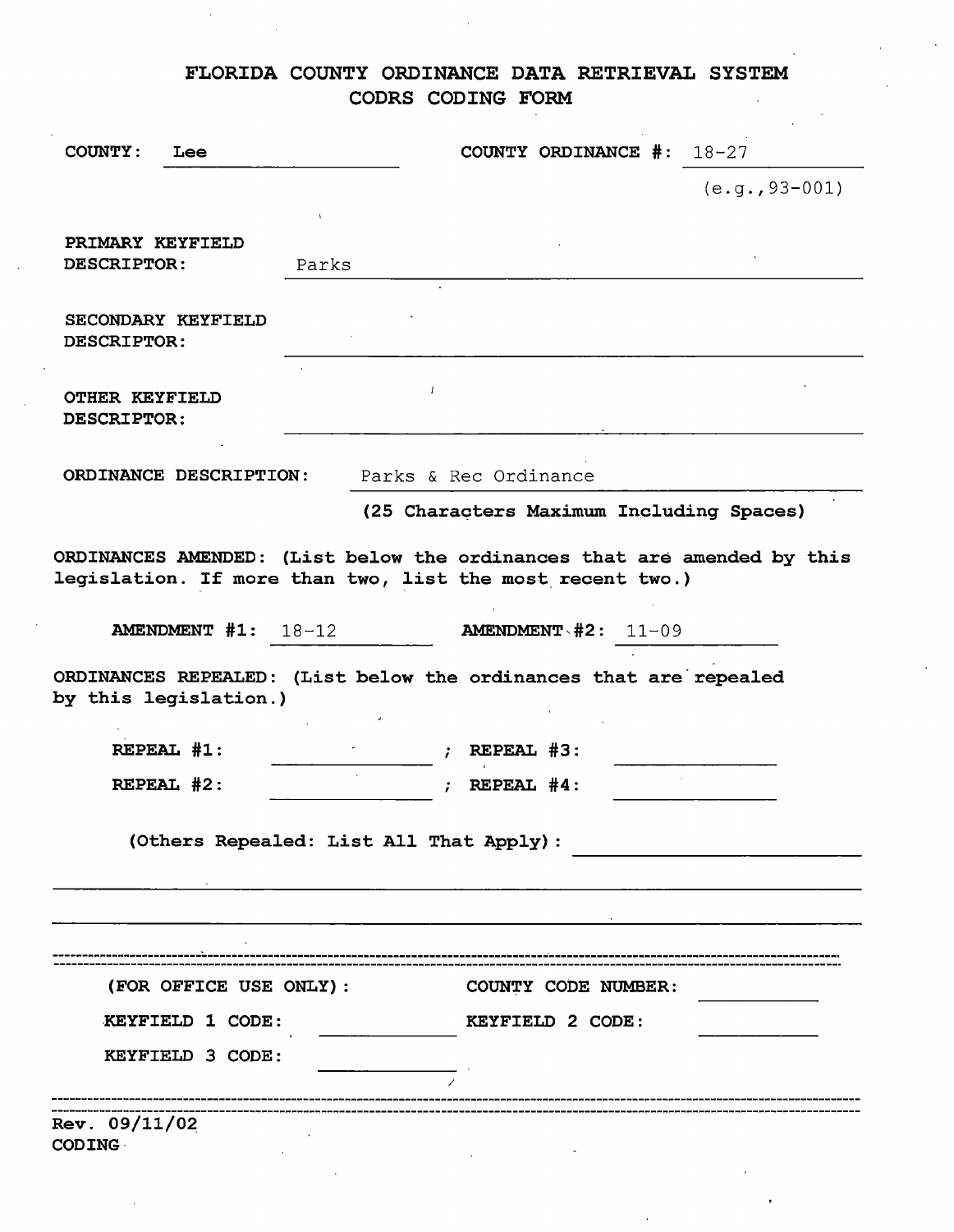## FLORIDA COUNTY ORDINANCE **DATA** RETRIEVAL SYSTEM **COORS CODING FORM**

 $\mathcal{L}$ 

| <b>COUNTY:</b>                              | Lee                          |                                         | COUNTY ORDINANCE $\#: 18-27$                                                                                                         |                  |
|---------------------------------------------|------------------------------|-----------------------------------------|--------------------------------------------------------------------------------------------------------------------------------------|------------------|
|                                             |                              |                                         |                                                                                                                                      | $(e.q., 93-001)$ |
| PRIMARY KEYFIELD<br><b>DESCRIPTOR:</b>      |                              | Parks                                   |                                                                                                                                      |                  |
| DESCRIPTOR:                                 | SECONDARY KEYFIELD           |                                         |                                                                                                                                      |                  |
| <b>OTHER KEYFIELD</b><br><b>DESCRIPTOR:</b> |                              |                                         |                                                                                                                                      |                  |
|                                             | ORDINANCE DESCRIPTION:       |                                         | Parks & Rec Ordinance                                                                                                                |                  |
|                                             |                              |                                         | (25 Characters Maximum Including Spaces)                                                                                             |                  |
|                                             |                              |                                         | ORDINANCES AMENDED: (List below the ordinances that are amended by this<br>legislation. If more than two, list the most recent two.) |                  |
|                                             | <b>AMENDMENT #1:</b> $18-12$ |                                         | <b>AMENDMENT <math>#2: 11-09</math></b>                                                                                              |                  |
|                                             | by this legislation.)        |                                         | ORDINANCES REPEALED: (List below the ordinances that are repealed                                                                    |                  |
|                                             | REPEAL #1:                   |                                         | REPEAL #3:                                                                                                                           |                  |
|                                             | REPEAL #2:                   |                                         | REPEAL #4:                                                                                                                           |                  |
|                                             |                              | (Others Repealed: List All That Apply): |                                                                                                                                      |                  |
|                                             |                              |                                         |                                                                                                                                      |                  |
|                                             |                              |                                         |                                                                                                                                      |                  |
|                                             |                              |                                         |                                                                                                                                      |                  |
|                                             | (FOR OFFICE USE ONLY) :      |                                         | COUNTY CODE NUMBER:                                                                                                                  |                  |
|                                             | KEYFIELD 1 CODE:             |                                         | KEYFIELD 2 CODE:                                                                                                                     |                  |
|                                             | KEYFIELD 3 CODE:             |                                         |                                                                                                                                      |                  |
| Rev. 09/11/02<br><b>CODING</b>              |                              |                                         |                                                                                                                                      |                  |

 $\alpha$